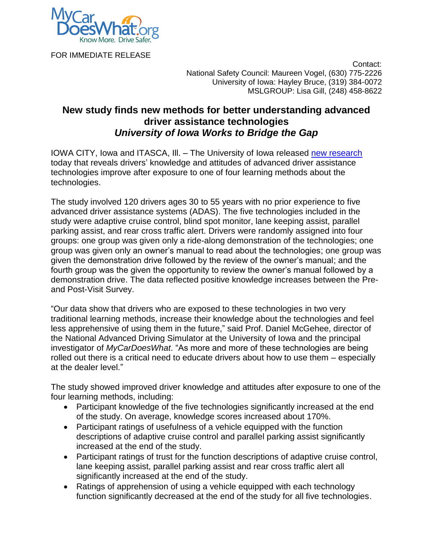

FOR IMMEDIATE RELEASE

 Contact: National Safety Council: Maureen Vogel, (630) 775-2226 University of Iowa: Hayley Bruce, (319) 384-0072 MSLGROUP: Lisa Gill, (248) 458-8622

## **New study finds new methods for better understanding advanced driver assistance technologies** *University of Iowa Works to Bridge the Gap*

IOWA CITY, Iowa and ITASCA, Ill. – The University of Iowa released [new research](http://www.nads-sc.uiowa.edu/publications.TDS) today that reveals drivers' knowledge and attitudes of advanced driver assistance technologies improve after exposure to one of four learning methods about the technologies.

The study involved 120 drivers ages 30 to 55 years with no prior experience to five advanced driver assistance systems (ADAS). The five technologies included in the study were adaptive cruise control, blind spot monitor, lane keeping assist, parallel parking assist, and rear cross traffic alert. Drivers were randomly assigned into four groups: one group was given only a ride-along demonstration of the technologies; one group was given only an owner's manual to read about the technologies; one group was given the demonstration drive followed by the review of the owner's manual; and the fourth group was the given the opportunity to review the owner's manual followed by a demonstration drive. The data reflected positive knowledge increases between the Preand Post-Visit Survey.

"Our data show that drivers who are exposed to these technologies in two very traditional learning methods, increase their knowledge about the technologies and feel less apprehensive of using them in the future," said Prof. Daniel McGehee, director of the National Advanced Driving Simulator at the University of Iowa and the principal investigator of *MyCarDoesWhat*. "As more and more of these technologies are being rolled out there is a critical need to educate drivers about how to use them – especially at the dealer level."

The study showed improved driver knowledge and attitudes after exposure to one of the four learning methods, including:

- Participant knowledge of the five technologies significantly increased at the end of the study. On average, knowledge scores increased about 170%.
- Participant ratings of usefulness of a vehicle equipped with the function descriptions of adaptive cruise control and parallel parking assist significantly increased at the end of the study.
- Participant ratings of trust for the function descriptions of adaptive cruise control, lane keeping assist, parallel parking assist and rear cross traffic alert all significantly increased at the end of the study.
- Ratings of apprehension of using a vehicle equipped with each technology function significantly decreased at the end of the study for all five technologies.